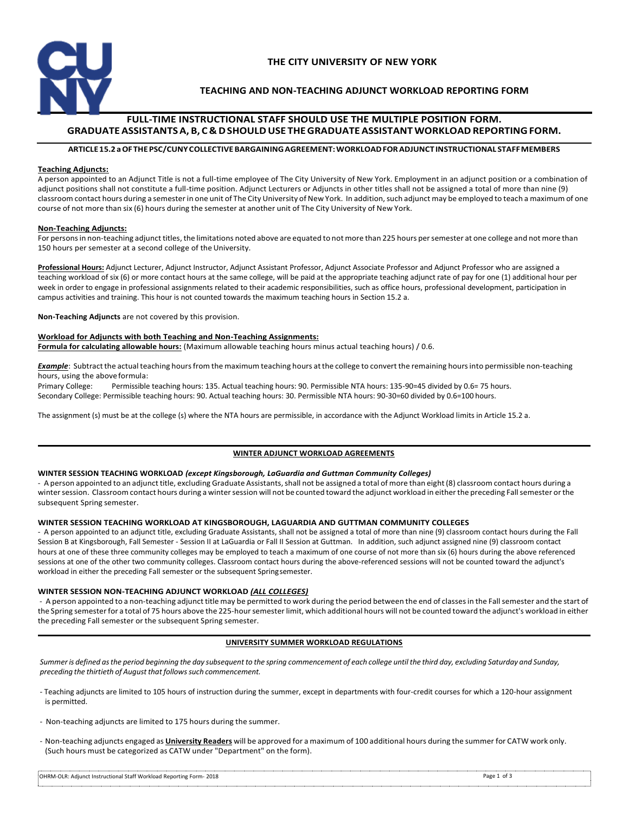

## **THE CITY UNIVERSITY OF NEW YORK**

## **TEACHING AND NON-TEACHING ADJUNCT WORKLOAD REPORTING FORM**

## **FULL-TIME INSTRUCTIONAL STAFF SHOULD USE THE MULTIPLE POSITION FORM. GRADUATE ASSISTANTS A, B, C & D SHOULD USE THE GRADUATE ASSISTANT WORKLOAD REPORTING FORM.**

## **ARTICLE 15.2 a OF THE PSC/CUNY COLLECTIVE BARGAINING AGREEMENT: WORKLOAD FOR ADJUNCT INSTRUCTIONAL STAFF MEMBERS**

#### **Teaching Adjuncts:**

A person appointed to an Adjunct Title is not a full-time employee of The City University of New York. Employment in an adjunct position or a combination of adjunct positions shall not constitute a full-time position. Adjunct Lecturers or Adjuncts in other titles shall not be assigned a total of more than nine (9) classroom contact hours during a semester in one unit of The City University of New York. In addition, such adjunct may be employed to teach a maximum of one course of not more than six (6) hours during the semester at another unit of The City University of New York.

### **Non-Teaching Adjuncts:**

For persons in non-teaching adjunct titles, the limitations noted above are equated to not more than 225 hours per semester at one college and not more than 150 hours per semester at a second college of the University.

**Professional Hours:** Adjunct Lecturer, Adjunct Instructor, Adjunct Assistant Professor, Adjunct Associate Professor and Adjunct Professor who are assigned a teaching workload of six (6) or more contact hours at the same college, will be paid at the appropriate teaching adjunct rate of pay for one (1) additional hour per week in order to engage in professional assignments related to their academic responsibilities, such as office hours, professional development, participation in campus activities and training. This hour is not counted towards the maximum teaching hours in Section 15.2 a.

**Non-Teaching Adjuncts** are not covered by this provision.

### **Workload for Adjuncts with both Teaching and Non-Teaching Assignments:**

**Formula for calculating allowable hours:** (Maximum allowable teaching hours minus actual teaching hours) / 0.6.

*Example*: Subtract the actual teaching hours from the maximum teaching hours at the college to convert the remaining hours into permissible non-teaching hours, using the above formula:

Primary College: Permissible teaching hours: 135. Actual teaching hours: 90. Permissible NTA hours: 135-90=45 divided by 0.6= 75 hours. Secondary College: Permissible teaching hours: 90. Actual teaching hours: 30. Permissible NTA hours: 90-30=60 divided by 0.6=100 hours.

The assignment (s) must be at the college (s) where the NTA hours are permissible, in accordance with the Adjunct Workload limits in Article 15.2 a.

### **WINTER ADJUNCT WORKLOAD AGREEMENTS**

#### **WINTER SESSION TEACHING WORKLOAD** *(except Kingsborough, LaGuardia and Guttman Community Colleges)*

- A person appointed to an adjunct title, excluding Graduate Assistants, shall not be assigned a total of more than eight (8) classroom contact hours during a winter session. Classroom contact hours during a winter session will not be counted toward the adjunct workload in either the preceding Fall semester or the subsequent Spring semester.

### **WINTER SESSION TEACHING WORKLOAD AT KINGSBOROUGH, LAGUARDIA AND GUTTMAN COMMUNITY COLLEGES**

- A person appointed to an adjunct title, excluding Graduate Assistants, shall not be assigned a total of more than nine (9) classroom contact hours during the Fall Session B at Kingsborough, Fall Semester - Session II at LaGuardia or Fall II Session at Guttman. In addition, such adjunct assigned nine (9) classroom contact hours at one of these three community colleges may be employed to teach a maximum of one course of not more than six (6) hours during the above referenced sessions at one of the other two community colleges. Classroom contact hours during the above-referenced sessions will not be counted toward the adjunct's workload in either the preceding Fall semester or the subsequent Spring semester.

### **WINTER SESSION NON-TEACHING ADJUNCT WORKLOAD** *(ALL COLLEGES)*

- A person appointed to a non-teaching adjunct title may be permitted to work during the period between the end of classes in the Fall semester and the start of the Spring semester for a total of 75 hours above the 225-hour semester limit, which additional hours will not be counted toward the adjunct's workload in either the preceding Fall semester or the subsequent Spring semester.

### **UNIVERSITY SUMMER WORKLOAD REGULATIONS**

*Summer is defined as the period beginning the day subsequent to the spring commencement of each college until the third day, excluding Saturday and Sunday, preceding the thirtieth of August that follows such commencement.* 

- Teaching adjuncts are limited to 105 hours of instruction during the summer, except in departments with four-credit courses for which a 120-hour assignment is permitted.

- Non-teaching adjuncts are limited to 175 hours during the summer.

- Non-teaching adjuncts engaged as **University Readers** will be approved for a maximum of 100 additional hours during the summer for CATW work only. (Such hours must be categorized as CATW under "Department" on the form).

| OHRM-OLR: Adjunct Instructional Staff Workload Reporting Form- 2018 | Page 1 of 3 |
|---------------------------------------------------------------------|-------------|
|                                                                     |             |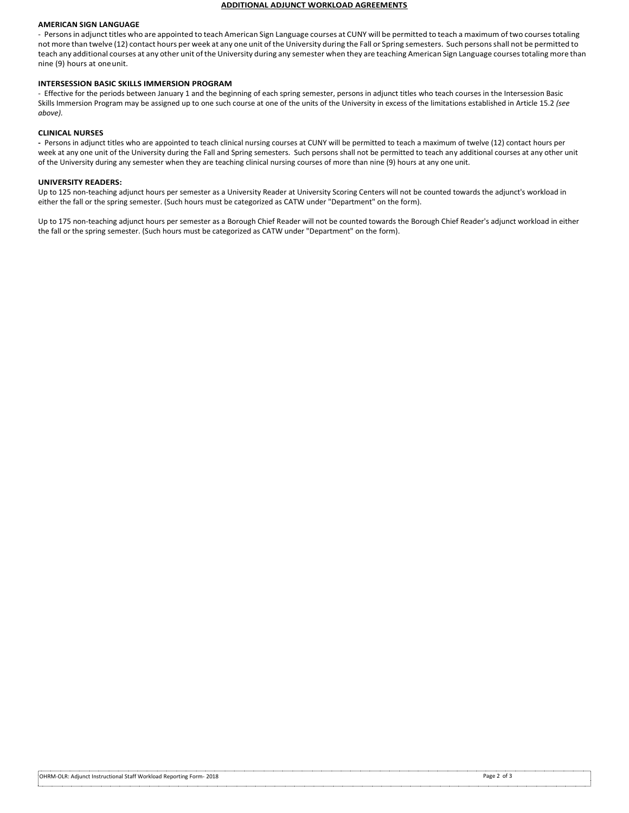#### **ADDITIONAL ADJUNCT WORKLOAD AGREEMENTS**

#### **AMERICAN SIGN LANGUAGE**

- Persons in adjunct titles who are appointed to teach American Sign Language courses at CUNY will be permitted to teach a maximum of two courses totaling not more than twelve (12) contact hours per week at any one unit of the University during the Fall or Spring semesters. Such persons shall not be permitted to teach any additional courses at any other unit of the University during any semester when they are teaching American Sign Language courses totaling more than nine (9) hours at one unit.

#### **INTERSESSION BASIC SKILLS IMMERSION PROGRAM**

- Effective for the periods between January 1 and the beginning of each spring semester, persons in adjunct titles who teach courses in the Intersession Basic Skills Immersion Program may be assigned up to one such course at one of the units of the University in excess of the limitations established in Article 15.2 *(see above).* 

#### **CLINICAL NURSES**

**-** Persons in adjunct titles who are appointed to teach clinical nursing courses at CUNY will be permitted to teach a maximum of twelve (12) contact hours per week at any one unit of the University during the Fall and Spring semesters. Such persons shall not be permitted to teach any additional courses at any other unit of the University during any semester when they are teaching clinical nursing courses of more than nine (9) hours at any one unit.

#### **UNIVERSITY READERS:**

Up to 125 non-teaching adjunct hours per semester as a University Reader at University Scoring Centers will not be counted towards the adjunct's workload in either the fall or the spring semester. (Such hours must be categorized as CATW under "Department" on the form).

Up to 175 non-teaching adjunct hours per semester as a Borough Chief Reader will not be counted towards the Borough Chief Reader's adjunct workload in either the fall or the spring semester. (Such hours must be categorized as CATW under "Department" on the form).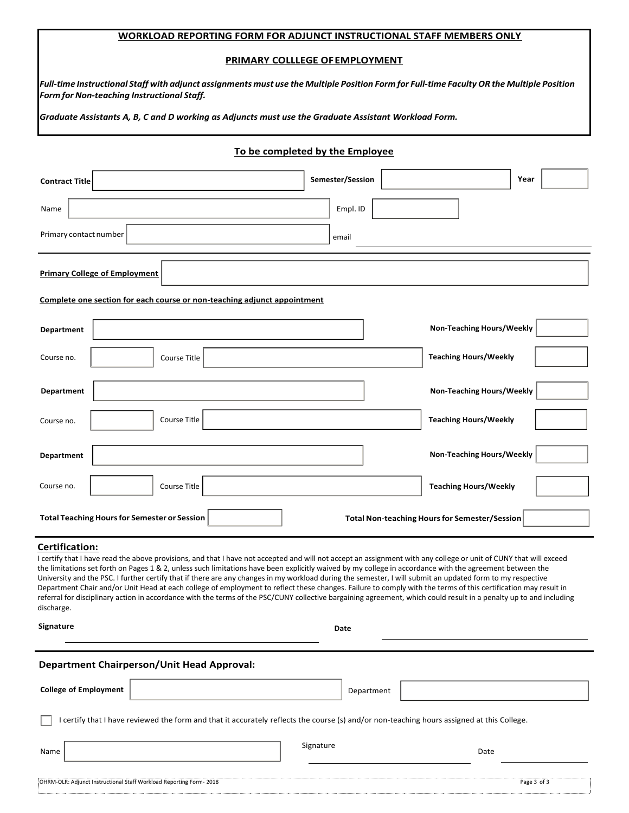## **WORKLOAD REPORTING FORM FOR ADJUNCT INSTRUCTIONAL STAFF MEMBERS ONLY**

#### **PRIMARY COLLLEGE OF EMPLOYMENT**

*Full-time Instructional Staff with adjunct assignments must use the Multiple Position Form for Full-time Faculty OR the Multiple Position Form for Non-teaching Instructional Staff.* 

*Graduate Assistants A, B, C and D working as Adjuncts must use the Graduate Assistant Workload Form.* 

## **To be completed by the Employee**

| <b>Contract Title</b>                                                    | Semester/Session | Year                                                 |  |  |
|--------------------------------------------------------------------------|------------------|------------------------------------------------------|--|--|
| Name                                                                     | Empl. ID         |                                                      |  |  |
| Primary contact number                                                   | email            |                                                      |  |  |
| <b>Primary College of Employment</b>                                     |                  |                                                      |  |  |
| Complete one section for each course or non-teaching adjunct appointment |                  |                                                      |  |  |
| <b>Department</b>                                                        |                  | <b>Non-Teaching Hours/Weekly</b>                     |  |  |
| Course no.<br>Course Title                                               |                  | <b>Teaching Hours/Weekly</b>                         |  |  |
| Department                                                               |                  | <b>Non-Teaching Hours/Weekly</b>                     |  |  |
| Course Title<br>Course no.                                               |                  | <b>Teaching Hours/Weekly</b>                         |  |  |
| <b>Department</b>                                                        |                  | Non-Teaching Hours/Weekly                            |  |  |
| Course no.<br>Course Title                                               |                  | <b>Teaching Hours/Weekly</b>                         |  |  |
| <b>Total Teaching Hours for Semester or Session</b>                      |                  | <b>Total Non-teaching Hours for Semester/Session</b> |  |  |

## **Certification:**

I certify that I have read the above provisions, and that I have not accepted and will not accept an assignment with any college or unit of CUNY that will exceed the limitations set forth on Pages 1 & 2, unless such limitations have been explicitly waived by my college in accordance with the agreement between the University and the PSC. I further certify that if there are any changes in my workload during the semester, I will submit an updated form to my respective Department Chair and/or Unit Head at each college of employment to reflect these changes. Failure to comply with the terms of this certification may result in referral for disciplinary action in accordance with the terms of the PSC/CUNY collective bargaining agreement, which could result in a penalty up to and including discharge.

**Signature** Date **Date Date** 

## **Department Chairperson/Unit Head Approval:**

| <b>College of Employment</b>                                                                                                               | Department |             |  |  |
|--------------------------------------------------------------------------------------------------------------------------------------------|------------|-------------|--|--|
| I certify that I have reviewed the form and that it accurately reflects the course (s) and/or non-teaching hours assigned at this College. |            |             |  |  |
| Name                                                                                                                                       | Signature  | Date        |  |  |
| OHRM-OLR: Adjunct Instructional Staff Workload Reporting Form-2018                                                                         |            | Page 3 of 3 |  |  |